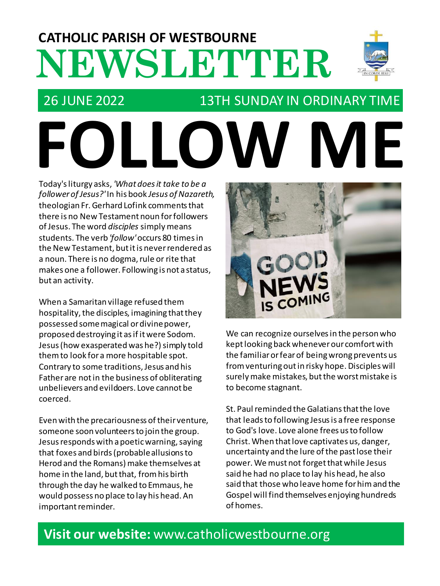# **NEWSLETTER CATHOLIC PARISH OF WESTBOURNE**

#### 26 JUNE 2022 13TH SUNDAY IN ORDINARY TIME

**FOLLOW ME**

Today's liturgy asks, *'What does it take to be a follower of Jesus?'* In his book *Jesus ofNazareth,* theologian Fr. Gerhard Lofink comments that there is no New Testament noun for followers of Jesus. The word *disciples* simply means students. The verb *'follow'*occurs 80 times in the New Testament, but it is never rendered as a noun. There is no dogma, rule or rite that makes one a follower. Following is not a status, but an activity.

When a Samaritan village refused them hospitality, the disciples, imagining that they possessed some magical or divine power, proposed destroying it as if it were Sodom. Jesus (how exasperated was he?) simply told them to look for a more hospitable spot. Contrary to some traditions, Jesus and his Father are not in the business of obliterating unbelievers and evildoers. Love cannot be coerced.

Even with the precariousness of their venture, someone soon volunteers to join the group. Jesus responds with a poetic warning, saying that foxes and birds (probable allusions to Herod and the Romans) make themselves at home in the land, but that, from his birth through the day he walked to Emmaus, he would possess no place to lay his head. An important reminder.



We can recognize ourselves in the person who kept looking back whenever our comfort with the familiar or fear of being wrong prevents us from venturing out in risky hope. Disciples will surely make mistakes, but the worst mistake is to become stagnant.

St. Paul reminded the Galatians that the love that leads to following Jesus is a free response to God's love. Love alone frees us to follow Christ. When that love captivates us, danger, uncertainty and the lure of the past lose their power. We must not forget that while Jesus said he had no place to lay his head, he also said that those who leave home for him and the Gospel will find themselves enjoying hundreds of homes.

#### **Visit our website:** www.catholicwestbourne.org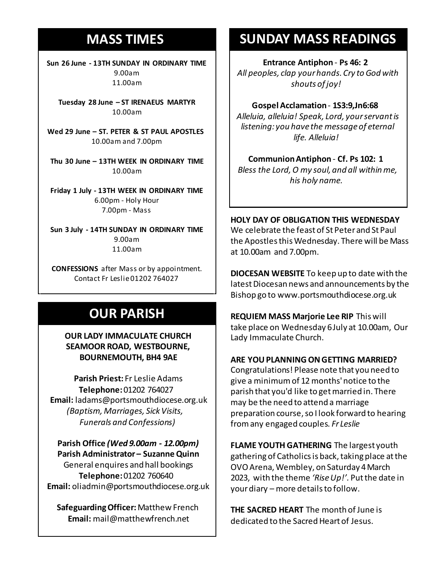#### **MASS TIMES**

**Sun 26 June - 13TH SUNDAY IN ORDINARY TIME** 9.00am 11.00am

**Tuesday 28 June – ST IRENAEUS MARTYR** 10.00am

**Sunday 11th 9am:** *The Parish* 10.00am and 7.00pm **Wed 29 June – ST. PETER & ST PAUL APOSTLES**

**11am** *Tim Mc Cann* **Thu 30 June – 13TH WEEK IN ORDINARY TIME** *Bernard Charles and Elsie May Pratt* 10.00am

**Saturday 16th** *Rosemarie Schofield RIP* **Friday 1 July - 13TH WEEK IN ORDINARY TIME Sunday 18th 11am** *The Parish*  6.00pm - Holy Hour 7.00pm - Mass

**Sun 3 July - 14TH SUNDAY IN ORDINARY TIME** 9.00am 11.00am

**CONFESSIONS** after Mass or by appointment. Contact Fr Leslie 01202 764027

# **OUR PARISH**

**OUR LADY IMMACULATE CHURCH SEAMOOR ROAD, WESTBOURNE, BOURNEMOUTH, BH4 9AE**

**Parish Priest:** Fr Leslie Adams **Telephone:**01202 764027 **Email:** ladams@portsmouthdiocese.org.uk *(Baptism, Marriages, Sick Visits, Funerals and Confessions)*

**Parish Office** *(Wed 9.00am - 12.00pm)* **Parish Administrator – Suzanne Quinn** General enquires andhall bookings **Telephone:**01202 760640 **Email:** oliadmin@portsmouthdiocese.org.uk

**Safeguarding Officer:**Matthew French **Email:** mail@matthewfrench.net

### **SUNDAY MASS READINGS**

**Entrance Antiphon** - **Ps 46: 2** *All peoples, clap your hands.Cry to God with shouts of joy!* 

**Gospel Acclamation**- **1S3:9,Jn6:68** *Alleluia, alleluia! Speak, Lord, your servant is listening: you have the message of eternal life. Alleluia!* 

**Communion Antiphon** - **Cf. Ps 102: 1** *Bless the Lord, O my soul,and all within me, his holy name.* 

**HOLY DAY OF OBLIGATION THIS WEDNESDAY**  We celebrate the feast of St Peter and St Paul the Apostles this Wednesday. There will be Mass at 10.00am and 7.00pm.

**DIOCESAN WEBSITE** To keep up to date with the latest Diocesan news and announcements by the Bishop go to www.portsmouthdiocese.org.uk

**REQUIEM MASS Marjorie Lee RIP** This will take place on Wednesday 6July at 10.00am, Our Lady Immaculate Church.

#### **ARE YOU PLANNING ON GETTING MARRIED?**

Congratulations! Please note that you need to give a minimumof 12months' notice to the parish that you'd like to get married in. There may be the need to attend a marriage preparation course, so I look forward to hearing from any engaged couples. *Fr Leslie*

**FLAME YOUTH GATHERING** The largest youth gathering of Catholics is back, taking place at the OVO Arena, Wembley, on Saturday 4March 2023, with the theme *'Rise Up!'.* Put the date in your diary – more details to follow.

**THE SACRED HEART** The month of June is dedicated to the Sacred Heart of Jesus.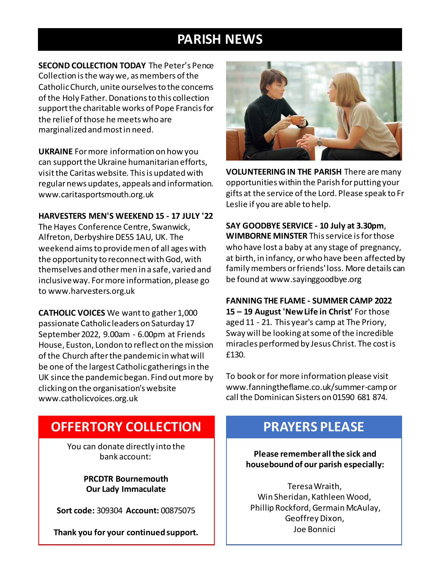### **PARISH NEWS**

**SECOND COLLECTION TODAY** The Peter's Pence Collection is the way we, as members of the Catholic Church, unite ourselves to the concerns of the Holy Father. Donations to this collection support the charitable works of Pope Francis for the relief of those he meets who are marginalized and most in need.

**UKRAINE** For more information on how you can support the Ukraine humanitarian efforts, visit the Caritas website. This is updated with regular news updates, appeals and information. www.caritasportsmouth.org.uk

#### **HARVESTERS MEN'S WEEKEND 15 - 17 JULY '22**

The Hayes Conference Centre, Swanwick, Alfreton, Derbyshire DE55 1AU, UK. The weekend aims to provide men of all ages with the opportunity to reconnect with God, with themselves and other men in a safe, varied and inclusive way. For more information, please go to www.harvesters.org.uk

**CATHOLIC VOICES** We want to gather 1,000 passionate Catholic leaders on Saturday 17 September 2022, 9.00am - 6.00pm at Friends House, Euston, London to reflect on the mission of the Church after the pandemic in what will be one of the largest Catholic gatherings in the UK since the pandemic began. Find out more by clicking on the organisation's website www.catholicvoices.org.uk



**VOLUNTEERING IN THE PARISH** There are many opportunities within the Parish for putting your gifts at the service of the Lord. Please speak to Fr Leslie if you are able to help.

**SAY GOODBYE SERVICE - 10 July at 3.30pm**, **WIMBORNE MINSTER** Thisservice is for those who have lost a baby at any stage of pregnancy, at birth, in infancy, or who have been affected by family members or friends' loss. More details can be found at www.sayinggoodbye.org

**FANNING THE FLAME - SUMMER CAMP 2022 15 – 19 August 'New Life in Christ'** For those aged 11 - 21. This year's camp at The Priory, Sway will be looking at some of the incredible miracles performed by Jesus Christ. The cost is £130.

To book or for more information please visit www.fanningtheflame.co.uk/summer-camp or call the Dominican Sisters on 01590 681 874.

#### **OFFERTORY COLLECTION**

You can donate directly into the bank account:

> **PRCDTR Bournemouth Our Lady Immaculate**

**Sort code:** 309304 **Account:** 00875075

**Thank you for your continued support.**

#### **PRAYERS PLEASE**

**Please remember all the sick and housebound of our parish especially:**

Teresa Wraith, Win Sheridan, Kathleen Wood, Phillip Rockford, Germain McAulay, Geoffrey Dixon, Joe Bonnici